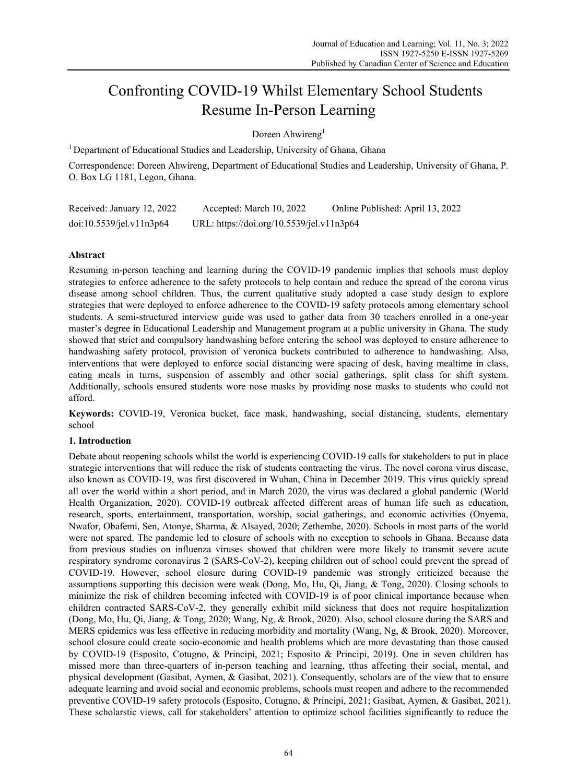# Confronting COVID-19 Whilst Elementary School Students Resume In-Person Learning

Doreen Ahwireng<sup>1</sup>

<sup>1</sup> Department of Educational Studies and Leadership, University of Ghana, Ghana

Correspondence: Doreen Ahwireng, Department of Educational Studies and Leadership, University of Ghana, P. O. Box LG 1181, Legon, Ghana.

| Received: January 12, 2022 | Accepted: March 10, 2022                  | Online Published: April 13, 2022 |
|----------------------------|-------------------------------------------|----------------------------------|
| doi:10.5539/jel.v11n3p64   | URL: https://doi.org/10.5539/jel.v11n3p64 |                                  |

# **Abstract**

Resuming in-person teaching and learning during the COVID-19 pandemic implies that schools must deploy strategies to enforce adherence to the safety protocols to help contain and reduce the spread of the corona virus disease among school children. Thus, the current qualitative study adopted a case study design to explore strategies that were deployed to enforce adherence to the COVID-19 safety protocols among elementary school students. A semi-structured interview guide was used to gather data from 30 teachers enrolled in a one-year master's degree in Educational Leadership and Management program at a public university in Ghana. The study showed that strict and compulsory handwashing before entering the school was deployed to ensure adherence to handwashing safety protocol, provision of veronica buckets contributed to adherence to handwashing. Also, interventions that were deployed to enforce social distancing were spacing of desk, having mealtime in class, eating meals in turns, suspension of assembly and other social gatherings, split class for shift system. Additionally, schools ensured students wore nose masks by providing nose masks to students who could not afford.

**Keywords:** COVID-19, Veronica bucket, face mask, handwashing, social distancing, students, elementary school

# **1. Introduction**

Debate about reopening schools whilst the world is experiencing COVID-19 calls for stakeholders to put in place strategic interventions that will reduce the risk of students contracting the virus. The novel corona virus disease, also known as COVID-19, was first discovered in Wuhan, China in December 2019. This virus quickly spread all over the world within a short period, and in March 2020, the virus was declared a global pandemic (World Health Organization, 2020). COVID-19 outbreak affected different areas of human life such as education, research, sports, entertainment, transportation, worship, social gatherings, and economic activities (Onyema, Nwafor, Obafemi, Sen, Atonye, Sharma, & Alsayed, 2020; Zethembe, 2020). Schools in most parts of the world were not spared. The pandemic led to closure of schools with no exception to schools in Ghana. Because data from previous studies on influenza viruses showed that children were more likely to transmit severe acute respiratory syndrome coronavirus 2 (SARS-CoV-2), keeping children out of school could prevent the spread of COVID-19. However, school closure during COVID-19 pandemic was strongly criticized because the assumptions supporting this decision were weak (Dong, Mo, Hu, Qi, Jiang, & Tong, 2020). Closing schools to minimize the risk of children becoming infected with COVID-19 is of poor clinical importance because when children contracted SARS-CoV-2, they generally exhibit mild sickness that does not require hospitalization (Dong, Mo, Hu, Qi, Jiang, & Tong, 2020; Wang, Ng, & Brook, 2020). Also, school closure during the SARS and MERS epidemics was less effective in reducing morbidity and mortality (Wang, Ng, & Brook, 2020). Moreover, school closure could create socio-economic and health problems which are more devastating than those caused by COVID-19 (Esposito, Cotugno, & Principi, 2021; Esposito & Principi, 2019). One in seven children has missed more than three-quarters of in-person teaching and learning, tthus affecting their social, mental, and physical development (Gasibat, Aymen, & Gasibat, 2021). Consequently, scholars are of the view that to ensure adequate learning and avoid social and economic problems, schools must reopen and adhere to the recommended preventive COVID-19 safety protocols (Esposito, Cotugno, & Principi, 2021; Gasibat, Aymen, & Gasibat, 2021). These scholarstic views, call for stakeholders' attention to optimize school facilities significantly to reduce the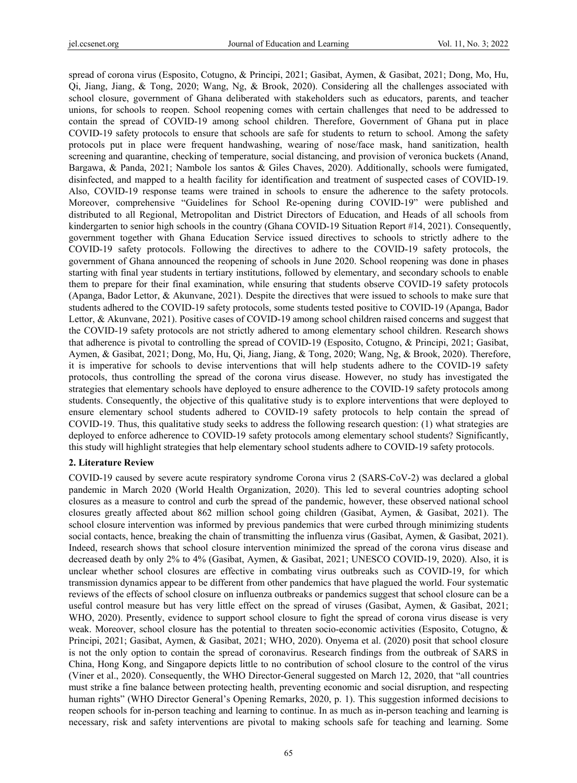spread of corona virus (Esposito, Cotugno, & Principi, 2021; Gasibat, Aymen, & Gasibat, 2021; Dong, Mo, Hu, Qi, Jiang, Jiang, & Tong, 2020; Wang, Ng, & Brook, 2020). Considering all the challenges associated with school closure, government of Ghana deliberated with stakeholders such as educators, parents, and teacher unions, for schools to reopen. School reopening comes with certain challenges that need to be addressed to contain the spread of COVID-19 among school children. Therefore, Government of Ghana put in place COVID-19 safety protocols to ensure that schools are safe for students to return to school. Among the safety protocols put in place were frequent handwashing, wearing of nose/face mask, hand sanitization, health screening and quarantine, checking of temperature, social distancing, and provision of veronica buckets (Anand, Bargawa, & Panda, 2021; Nambole los santos & Giles Chaves, 2020). Additionally, schools were fumigated, disinfected, and mapped to a health facility for identification and treatment of suspected cases of COVID-19. Also, COVID-19 response teams were trained in schools to ensure the adherence to the safety protocols. Moreover, comprehensive "Guidelines for School Re-opening during COVID-19" were published and distributed to all Regional, Metropolitan and District Directors of Education, and Heads of all schools from kindergarten to senior high schools in the country (Ghana COVID-19 Situation Report #14, 2021). Consequently, government together with Ghana Education Service issued directives to schools to strictly adhere to the COVID-19 safety protocols. Following the directives to adhere to the COVID-19 safety protocols, the government of Ghana announced the reopening of schools in June 2020. School reopening was done in phases starting with final year students in tertiary institutions, followed by elementary, and secondary schools to enable them to prepare for their final examination, while ensuring that students observe COVID-19 safety protocols (Apanga, Bador Lettor, & Akunvane, 2021). Despite the directives that were issued to schools to make sure that students adhered to the COVID-19 safety protocols, some students tested positive to COVID-19 (Apanga, Bador Lettor, & Akunvane, 2021). Positive cases of COVID-19 among school children raised concerns and suggest that the COVID-19 safety protocols are not strictly adhered to among elementary school children. Research shows that adherence is pivotal to controlling the spread of COVID-19 (Esposito, Cotugno, & Principi, 2021; Gasibat, Aymen, & Gasibat, 2021; Dong, Mo, Hu, Qi, Jiang, Jiang, & Tong, 2020; Wang, Ng, & Brook, 2020). Therefore, it is imperative for schools to devise interventions that will help students adhere to the COVID-19 safety protocols, thus controlling the spread of the corona virus disease. However, no study has investigated the strategies that elementary schools have deployed to ensure adherence to the COVID-19 safety protocols among students. Consequently, the objective of this qualitative study is to explore interventions that were deployed to ensure elementary school students adhered to COVID-19 safety protocols to help contain the spread of COVID-19. Thus, this qualitative study seeks to address the following research question: (1) what strategies are deployed to enforce adherence to COVID-19 safety protocols among elementary school students? Significantly, this study will highlight strategies that help elementary school students adhere to COVID-19 safety protocols.

## **2. Literature Review**

COVID-19 caused by severe acute respiratory syndrome Corona virus 2 (SARS-CoV-2) was declared a global pandemic in March 2020 (World Health Organization, 2020). This led to several countries adopting school closures as a measure to control and curb the spread of the pandemic, however, these observed national school closures greatly affected about 862 million school going children (Gasibat, Aymen, & Gasibat, 2021). The school closure intervention was informed by previous pandemics that were curbed through minimizing students social contacts, hence, breaking the chain of transmitting the influenza virus (Gasibat, Aymen, & Gasibat, 2021). Indeed, research shows that school closure intervention minimized the spread of the corona virus disease and decreased death by only 2% to 4% (Gasibat, Aymen, & Gasibat, 2021; UNESCO COVID-19, 2020). Also, it is unclear whether school closures are effective in combating virus outbreaks such as COVID-19, for which transmission dynamics appear to be different from other pandemics that have plagued the world. Four systematic reviews of the effects of school closure on influenza outbreaks or pandemics suggest that school closure can be a useful control measure but has very little effect on the spread of viruses (Gasibat, Aymen, & Gasibat, 2021; WHO, 2020). Presently, evidence to support school closure to fight the spread of corona virus disease is very weak. Moreover, school closure has the potential to threaten socio-economic activities (Esposito, Cotugno, & Principi, 2021; Gasibat, Aymen, & Gasibat, 2021; WHO, 2020). Onyema et al. (2020) posit that school closure is not the only option to contain the spread of coronavirus. Research findings from the outbreak of SARS in China, Hong Kong, and Singapore depicts little to no contribution of school closure to the control of the virus (Viner et al., 2020). Consequently, the WHO Director-General suggested on March 12, 2020, that "all countries must strike a fine balance between protecting health, preventing economic and social disruption, and respecting human rights" (WHO Director General's Opening Remarks, 2020, p. 1). This suggestion informed decisions to reopen schools for in-person teaching and learning to continue. In as much as in-person teaching and learning is necessary, risk and safety interventions are pivotal to making schools safe for teaching and learning. Some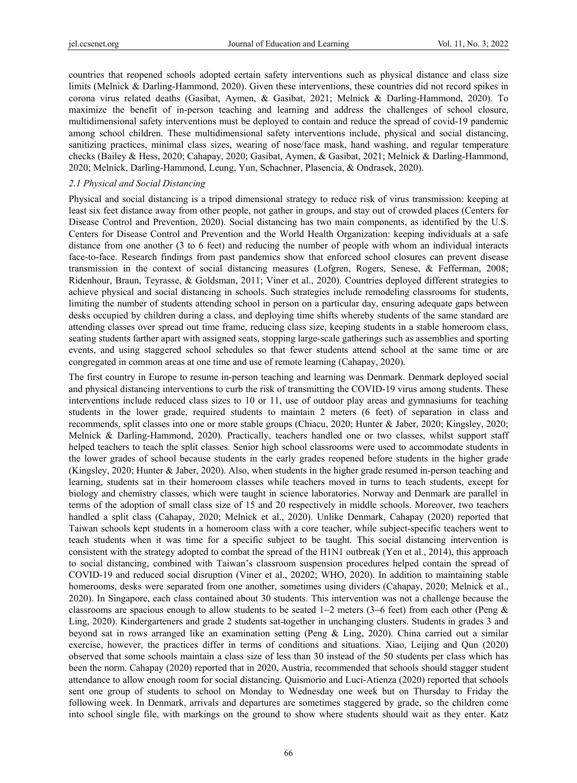countries that reopened schools adopted certain safety interventions such as physical distance and class size limits (Melnick & Darling-Hammond, 2020). Given these interventions, these countries did not record spikes in corona virus related deaths (Gasibat, Aymen, & Gasibat, 2021; Melnick & Darling-Hammond, 2020). To maximize the benefit of in-person teaching and learning and address the challenges of school closure, multidimensional safety interventions must be deployed to contain and reduce the spread of covid-19 pandemic among school children. These multidimensional safety interventions include, physical and social distancing, sanitizing practices, minimal class sizes, wearing of nose/face mask, hand washing, and regular temperature checks (Bailey & Hess, 2020; Cahapay, 2020; Gasibat, Aymen, & Gasibat, 2021; Melnick & Darling-Hammond, 2020; Melnick, Darling-Hammond, Leung, Yun, Schachner, Plasencia, & Ondrasek, 2020).

#### *2.1 Physical and Social Distancing*

Physical and social distancing is a tripod dimensional strategy to reduce risk of virus transmission: keeping at least six feet distance away from other people, not gather in groups, and stay out of crowded places (Centers for Disease Control and Prevention, 2020). Social distancing has two main components, as identified by the U.S. Centers for Disease Control and Prevention and the World Health Organization: keeping individuals at a safe distance from one another (3 to 6 feet) and reducing the number of people with whom an individual interacts face-to-face. Research findings from past pandemics show that enforced school closures can prevent disease transmission in the context of social distancing measures (Lofgren, Rogers, Senese, & Fefferman, 2008; Ridenhour, Braun, Teyrasse, & Goldsman, 2011; Viner et al., 2020). Countries deployed different strategies to achieve physical and social distancing in schools. Such strategies include remodeling classrooms for students, limiting the number of students attending school in person on a particular day, ensuring adequate gaps between desks occupied by children during a class, and deploying time shifts whereby students of the same standard are attending classes over spread out time frame, reducing class size, keeping students in a stable homeroom class, seating students farther apart with assigned seats, stopping large-scale gatherings such as assemblies and sporting events, and using staggered school schedules so that fewer students attend school at the same time or are congregated in common areas at one time and use of remote learning (Cahapay, 2020).

The first country in Europe to resume in-person teaching and learning was Denmark. Denmark deployed social and physical distancing interventions to curb the risk of transmitting the COVID-19 virus among students. These interventions include reduced class sizes to 10 or 11, use of outdoor play areas and gymnasiums for teaching students in the lower grade, required students to maintain 2 meters (6 feet) of separation in class and recommends, split classes into one or more stable groups (Chiacu, 2020; Hunter & Jaber, 2020; Kingsley, 2020; Melnick & Darling-Hammond, 2020). Practically, teachers handled one or two classes, whilst support staff helped teachers to teach the split classes. Senior high school classrooms were used to accommodate students in the lower grades of school because students in the early grades reopened before students in the higher grade (Kingsley, 2020; Hunter & Jaber, 2020). Also, when students in the higher grade resumed in-person teaching and learning, students sat in their homeroom classes while teachers moved in turns to teach students, except for biology and chemistry classes, which were taught in science laboratories. Norway and Denmark are parallel in terms of the adoption of small class size of 15 and 20 respectively in middle schools. Moreover, two teachers handled a split class (Cahapay, 2020; Melnick et al., 2020). Unlike Denmark, Cahapay (2020) reported that Taiwan schools kept students in a homeroom class with a core teacher, while subject-specific teachers went to teach students when it was time for a specific subject to be taught. This social distancing intervention is consistent with the strategy adopted to combat the spread of the H1N1 outbreak (Yen et al., 2014), this approach to social distancing, combined with Taiwan's classroom suspension procedures helped contain the spread of COVID-19 and reduced social disruption (Viner et al., 20202; WHO, 2020). In addition to maintaining stable homerooms, desks were separated from one another, sometimes using dividers (Cahapay, 2020; Melnick et al., 2020). In Singapore, each class contained about 30 students. This intervention was not a challenge because the classrooms are spacious enough to allow students to be seated 1−2 meters (3−6 feet) from each other (Peng & Ling, 2020). Kindergarteners and grade 2 students sat together in unchanging clusters. Students in grades 3 and beyond sat in rows arranged like an examination setting (Peng & Ling, 2020). China carried out a similar exercise, however, the practices differ in terms of conditions and situations. Xiao, Leijing and Qun (2020) observed that some schools maintain a class size of less than 30 instead of the 50 students per class which has been the norm. Cahapay (2020) reported that in 2020, Austria, recommended that schools should stagger student attendance to allow enough room for social distancing. Quismorio and Luci-Atienza (2020) reported that schools sent one group of students to school on Monday to Wednesday one week but on Thursday to Friday the following week. In Denmark, arrivals and departures are sometimes staggered by grade, so the children come into school single file, with markings on the ground to show where students should wait as they enter. Katz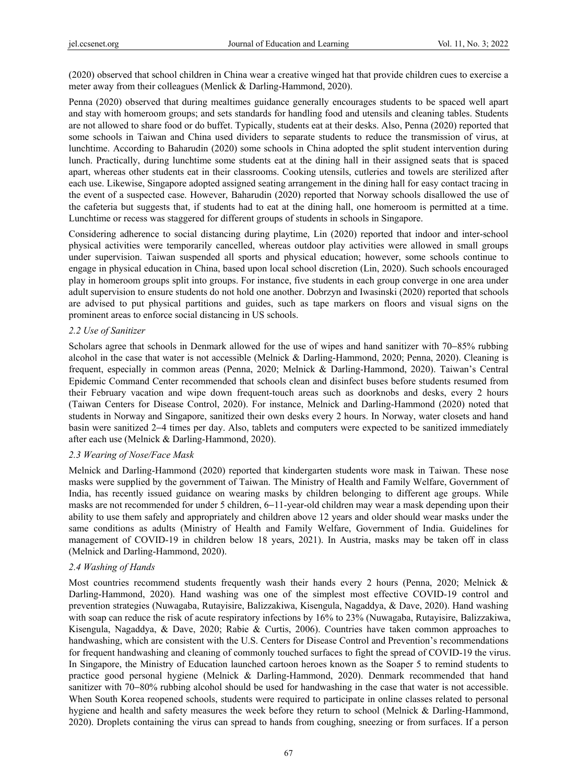(2020) observed that school children in China wear a creative winged hat that provide children cues to exercise a meter away from their colleagues (Menlick & Darling-Hammond, 2020).

Penna (2020) observed that during mealtimes guidance generally encourages students to be spaced well apart and stay with homeroom groups; and sets standards for handling food and utensils and cleaning tables. Students are not allowed to share food or do buffet. Typically, students eat at their desks. Also, Penna (2020) reported that some schools in Taiwan and China used dividers to separate students to reduce the transmission of virus, at lunchtime. According to Baharudin (2020) some schools in China adopted the split student intervention during lunch. Practically, during lunchtime some students eat at the dining hall in their assigned seats that is spaced apart, whereas other students eat in their classrooms. Cooking utensils, cutleries and towels are sterilized after each use. Likewise, Singapore adopted assigned seating arrangement in the dining hall for easy contact tracing in the event of a suspected case. However, Baharudin (2020) reported that Norway schools disallowed the use of the cafeteria but suggests that, if students had to eat at the dining hall, one homeroom is permitted at a time. Lunchtime or recess was staggered for different groups of students in schools in Singapore.

Considering adherence to social distancing during playtime, Lin (2020) reported that indoor and inter-school physical activities were temporarily cancelled, whereas outdoor play activities were allowed in small groups under supervision. Taiwan suspended all sports and physical education; however, some schools continue to engage in physical education in China, based upon local school discretion (Lin, 2020). Such schools encouraged play in homeroom groups split into groups. For instance, five students in each group converge in one area under adult supervision to ensure students do not hold one another. Dobrzyn and Iwasinski (2020) reported that schools are advised to put physical partitions and guides, such as tape markers on floors and visual signs on the prominent areas to enforce social distancing in US schools.

## *2.2 Use of Sanitizer*

Scholars agree that schools in Denmark allowed for the use of wipes and hand sanitizer with 70−85% rubbing alcohol in the case that water is not accessible (Melnick & Darling-Hammond, 2020; Penna, 2020). Cleaning is frequent, especially in common areas (Penna, 2020; Melnick & Darling-Hammond, 2020). Taiwan's Central Epidemic Command Center recommended that schools clean and disinfect buses before students resumed from their February vacation and wipe down frequent-touch areas such as doorknobs and desks, every 2 hours (Taiwan Centers for Disease Control, 2020). For instance, Melnick and Darling-Hammond (2020) noted that students in Norway and Singapore, sanitized their own desks every 2 hours. In Norway, water closets and hand basin were sanitized 2−4 times per day. Also, tablets and computers were expected to be sanitized immediately after each use (Melnick & Darling-Hammond, 2020).

# *2.3 Wearing of Nose/Face Mask*

Melnick and Darling-Hammond (2020) reported that kindergarten students wore mask in Taiwan. These nose masks were supplied by the government of Taiwan. The Ministry of Health and Family Welfare, Government of India, has recently issued guidance on wearing masks by children belonging to different age groups. While masks are not recommended for under 5 children, 6−11-year-old children may wear a mask depending upon their ability to use them safely and appropriately and children above 12 years and older should wear masks under the same conditions as adults (Ministry of Health and Family Welfare, Government of India. Guidelines for management of COVID-19 in children below 18 years, 2021). In Austria, masks may be taken off in class (Melnick and Darling-Hammond, 2020).

# *2.4 Washing of Hands*

Most countries recommend students frequently wash their hands every 2 hours (Penna, 2020; Melnick & Darling-Hammond, 2020). Hand washing was one of the simplest most effective COVID-19 control and prevention strategies (Nuwagaba, Rutayisire, Balizzakiwa, Kisengula, Nagaddya, & Dave, 2020). Hand washing with soap can reduce the risk of acute respiratory infections by 16% to 23% (Nuwagaba, Rutayisire, Balizzakiwa, Kisengula, Nagaddya, & Dave, 2020; Rabie & Curtis, 2006). Countries have taken common approaches to handwashing, which are consistent with the U.S. Centers for Disease Control and Prevention's recommendations for frequent handwashing and cleaning of commonly touched surfaces to fight the spread of COVID-19 the virus. In Singapore, the Ministry of Education launched cartoon heroes known as the Soaper 5 to remind students to practice good personal hygiene (Melnick & Darling-Hammond, 2020). Denmark recommended that hand sanitizer with 70−80% rubbing alcohol should be used for handwashing in the case that water is not accessible. When South Korea reopened schools, students were required to participate in online classes related to personal hygiene and health and safety measures the week before they return to school (Melnick & Darling-Hammond, 2020). Droplets containing the virus can spread to hands from coughing, sneezing or from surfaces. If a person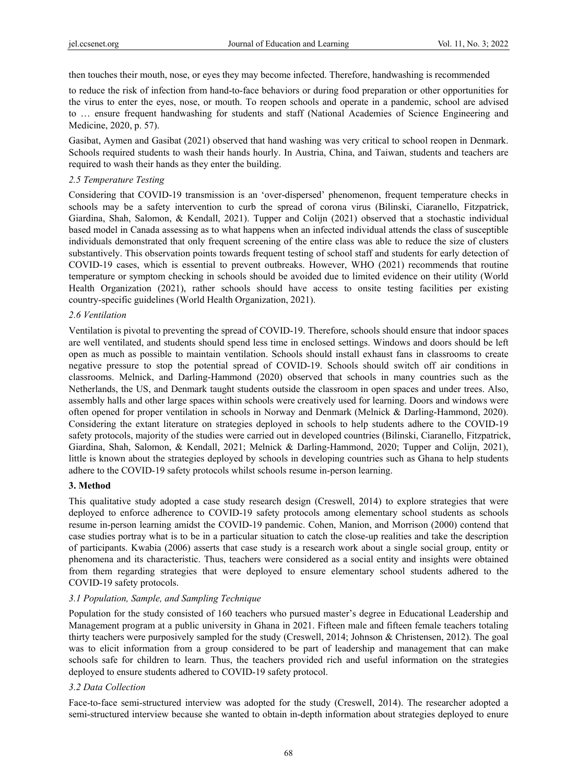then touches their mouth, nose, or eyes they may become infected. Therefore, handwashing is recommended

to reduce the risk of infection from hand-to-face behaviors or during food preparation or other opportunities for the virus to enter the eyes, nose, or mouth. To reopen schools and operate in a pandemic, school are advised to … ensure frequent handwashing for students and staff (National Academies of Science Engineering and Medicine, 2020, p. 57).

Gasibat, Aymen and Gasibat (2021) observed that hand washing was very critical to school reopen in Denmark. Schools required students to wash their hands hourly. In Austria, China, and Taiwan, students and teachers are required to wash their hands as they enter the building.

# *2.5 Temperature Testing*

Considering that COVID-19 transmission is an 'over-dispersed' phenomenon, frequent temperature checks in schools may be a safety intervention to curb the spread of corona virus (Bilinski, Ciaranello, Fitzpatrick, Giardina, Shah, Salomon, & Kendall, 2021). Tupper and Colijn (2021) observed that a stochastic individual based model in Canada assessing as to what happens when an infected individual attends the class of susceptible individuals demonstrated that only frequent screening of the entire class was able to reduce the size of clusters substantively. This observation points towards frequent testing of school staff and students for early detection of COVID-19 cases, which is essential to prevent outbreaks. However, WHO (2021) recommends that routine temperature or symptom checking in schools should be avoided due to limited evidence on their utility (World Health Organization (2021), rather schools should have access to onsite testing facilities per existing country-specific guidelines (World Health Organization, 2021).

# *2.6 Ventilation*

Ventilation is pivotal to preventing the spread of COVID-19. Therefore, schools should ensure that indoor spaces are well ventilated, and students should spend less time in enclosed settings. Windows and doors should be left open as much as possible to maintain ventilation. Schools should install exhaust fans in classrooms to create negative pressure to stop the potential spread of COVID-19. Schools should switch off air conditions in classrooms. Melnick, and Darling-Hammond (2020) observed that schools in many countries such as the Netherlands, the US, and Denmark taught students outside the classroom in open spaces and under trees. Also, assembly halls and other large spaces within schools were creatively used for learning. Doors and windows were often opened for proper ventilation in schools in Norway and Denmark (Melnick & Darling-Hammond, 2020). Considering the extant literature on strategies deployed in schools to help students adhere to the COVID-19 safety protocols, majority of the studies were carried out in developed countries (Bilinski, Ciaranello, Fitzpatrick, Giardina, Shah, Salomon, & Kendall, 2021; Melnick & Darling-Hammond, 2020; Tupper and Colijn, 2021), little is known about the strategies deployed by schools in developing countries such as Ghana to help students adhere to the COVID-19 safety protocols whilst schools resume in-person learning.

# **3. Method**

This qualitative study adopted a case study research design (Creswell, 2014) to explore strategies that were deployed to enforce adherence to COVID-19 safety protocols among elementary school students as schools resume in-person learning amidst the COVID-19 pandemic. Cohen, Manion, and Morrison (2000) contend that case studies portray what is to be in a particular situation to catch the close-up realities and take the description of participants. Kwabia (2006) asserts that case study is a research work about a single social group, entity or phenomena and its characteristic. Thus, teachers were considered as a social entity and insights were obtained from them regarding strategies that were deployed to ensure elementary school students adhered to the COVID-19 safety protocols.

# *3.1 Population, Sample, and Sampling Technique*

Population for the study consisted of 160 teachers who pursued master's degree in Educational Leadership and Management program at a public university in Ghana in 2021. Fifteen male and fifteen female teachers totaling thirty teachers were purposively sampled for the study (Creswell, 2014; Johnson & Christensen, 2012). The goal was to elicit information from a group considered to be part of leadership and management that can make schools safe for children to learn. Thus, the teachers provided rich and useful information on the strategies deployed to ensure students adhered to COVID-19 safety protocol.

# *3.2 Data Collection*

Face-to-face semi-structured interview was adopted for the study (Creswell, 2014). The researcher adopted a semi-structured interview because she wanted to obtain in-depth information about strategies deployed to enure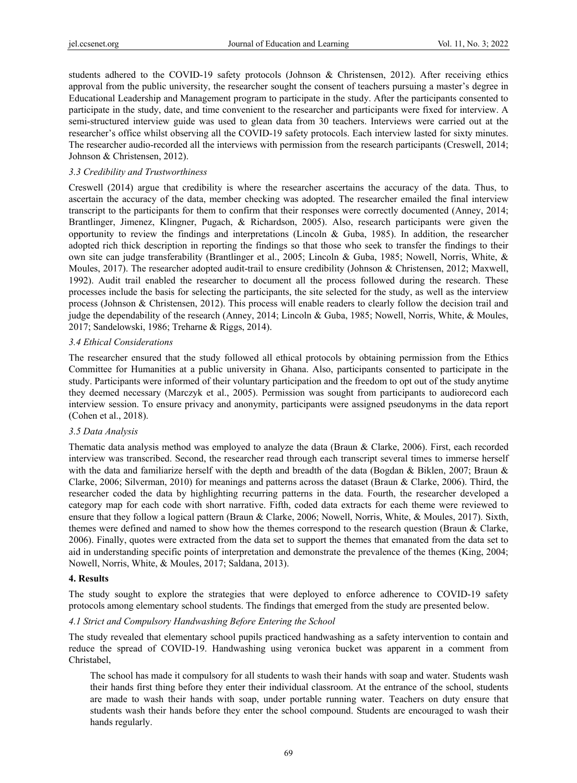students adhered to the COVID-19 safety protocols (Johnson & Christensen, 2012). After receiving ethics approval from the public university, the researcher sought the consent of teachers pursuing a master's degree in Educational Leadership and Management program to participate in the study. After the participants consented to participate in the study, date, and time convenient to the researcher and participants were fixed for interview. A semi-structured interview guide was used to glean data from 30 teachers. Interviews were carried out at the researcher's office whilst observing all the COVID-19 safety protocols. Each interview lasted for sixty minutes. The researcher audio-recorded all the interviews with permission from the research participants (Creswell, 2014; Johnson & Christensen, 2012).

# *3.3 Credibility and Trustworthiness*

Creswell (2014) argue that credibility is where the researcher ascertains the accuracy of the data. Thus, to ascertain the accuracy of the data, member checking was adopted. The researcher emailed the final interview transcript to the participants for them to confirm that their responses were correctly documented (Anney, 2014; Brantlinger, Jimenez, Klingner, Pugach, & Richardson, 2005). Also, research participants were given the opportunity to review the findings and interpretations (Lincoln & Guba, 1985). In addition, the researcher adopted rich thick description in reporting the findings so that those who seek to transfer the findings to their own site can judge transferability (Brantlinger et al., 2005; Lincoln & Guba, 1985; Nowell, Norris, White, & Moules, 2017). The researcher adopted audit-trail to ensure credibility (Johnson & Christensen, 2012; Maxwell, 1992). Audit trail enabled the researcher to document all the process followed during the research. These processes include the basis for selecting the participants, the site selected for the study, as well as the interview process (Johnson & Christensen, 2012). This process will enable readers to clearly follow the decision trail and judge the dependability of the research (Anney, 2014; Lincoln & Guba, 1985; Nowell, Norris, White, & Moules, 2017; Sandelowski, 1986; Treharne & Riggs, 2014).

## *3.4 Ethical Considerations*

The researcher ensured that the study followed all ethical protocols by obtaining permission from the Ethics Committee for Humanities at a public university in Ghana. Also, participants consented to participate in the study. Participants were informed of their voluntary participation and the freedom to opt out of the study anytime they deemed necessary (Marczyk et al., 2005). Permission was sought from participants to audiorecord each interview session. To ensure privacy and anonymity, participants were assigned pseudonyms in the data report (Cohen et al., 2018).

## *3.5 Data Analysis*

Thematic data analysis method was employed to analyze the data (Braun & Clarke, 2006). First, each recorded interview was transcribed. Second, the researcher read through each transcript several times to immerse herself with the data and familiarize herself with the depth and breadth of the data (Bogdan & Biklen, 2007; Braun & Clarke, 2006; Silverman, 2010) for meanings and patterns across the dataset (Braun & Clarke, 2006). Third, the researcher coded the data by highlighting recurring patterns in the data. Fourth, the researcher developed a category map for each code with short narrative. Fifth, coded data extracts for each theme were reviewed to ensure that they follow a logical pattern (Braun & Clarke, 2006; Nowell, Norris, White, & Moules, 2017). Sixth, themes were defined and named to show how the themes correspond to the research question (Braun & Clarke, 2006). Finally, quotes were extracted from the data set to support the themes that emanated from the data set to aid in understanding specific points of interpretation and demonstrate the prevalence of the themes (King, 2004; Nowell, Norris, White, & Moules, 2017; Saldana, 2013).

## **4. Results**

The study sought to explore the strategies that were deployed to enforce adherence to COVID-19 safety protocols among elementary school students. The findings that emerged from the study are presented below.

# *4.1 Strict and Compulsory Handwashing Before Entering the School*

The study revealed that elementary school pupils practiced handwashing as a safety intervention to contain and reduce the spread of COVID-19. Handwashing using veronica bucket was apparent in a comment from Christabel,

The school has made it compulsory for all students to wash their hands with soap and water. Students wash their hands first thing before they enter their individual classroom. At the entrance of the school, students are made to wash their hands with soap, under portable running water. Teachers on duty ensure that students wash their hands before they enter the school compound. Students are encouraged to wash their hands regularly.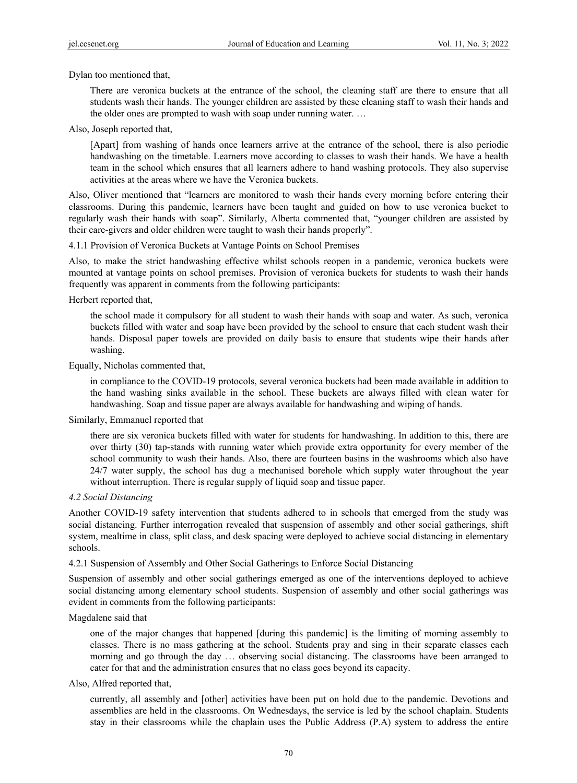Dylan too mentioned that,

There are veronica buckets at the entrance of the school, the cleaning staff are there to ensure that all students wash their hands. The younger children are assisted by these cleaning staff to wash their hands and the older ones are prompted to wash with soap under running water. …

Also, Joseph reported that,

[Apart] from washing of hands once learners arrive at the entrance of the school, there is also periodic handwashing on the timetable. Learners move according to classes to wash their hands. We have a health team in the school which ensures that all learners adhere to hand washing protocols. They also supervise activities at the areas where we have the Veronica buckets.

Also, Oliver mentioned that "learners are monitored to wash their hands every morning before entering their classrooms. During this pandemic, learners have been taught and guided on how to use veronica bucket to regularly wash their hands with soap". Similarly, Alberta commented that, "younger children are assisted by their care-givers and older children were taught to wash their hands properly".

4.1.1 Provision of Veronica Buckets at Vantage Points on School Premises

Also, to make the strict handwashing effective whilst schools reopen in a pandemic, veronica buckets were mounted at vantage points on school premises. Provision of veronica buckets for students to wash their hands frequently was apparent in comments from the following participants:

Herbert reported that,

the school made it compulsory for all student to wash their hands with soap and water. As such, veronica buckets filled with water and soap have been provided by the school to ensure that each student wash their hands. Disposal paper towels are provided on daily basis to ensure that students wipe their hands after washing.

Equally, Nicholas commented that,

in compliance to the COVID-19 protocols, several veronica buckets had been made available in addition to the hand washing sinks available in the school. These buckets are always filled with clean water for handwashing. Soap and tissue paper are always available for handwashing and wiping of hands.

#### Similarly, Emmanuel reported that

there are six veronica buckets filled with water for students for handwashing. In addition to this, there are over thirty (30) tap-stands with running water which provide extra opportunity for every member of the school community to wash their hands. Also, there are fourteen basins in the washrooms which also have 24/7 water supply, the school has dug a mechanised borehole which supply water throughout the year without interruption. There is regular supply of liquid soap and tissue paper.

#### *4.2 Social Distancing*

Another COVID-19 safety intervention that students adhered to in schools that emerged from the study was social distancing. Further interrogation revealed that suspension of assembly and other social gatherings, shift system, mealtime in class, split class, and desk spacing were deployed to achieve social distancing in elementary schools.

4.2.1 Suspension of Assembly and Other Social Gatherings to Enforce Social Distancing

Suspension of assembly and other social gatherings emerged as one of the interventions deployed to achieve social distancing among elementary school students. Suspension of assembly and other social gatherings was evident in comments from the following participants:

#### Magdalene said that

one of the major changes that happened [during this pandemic] is the limiting of morning assembly to classes. There is no mass gathering at the school. Students pray and sing in their separate classes each morning and go through the day … observing social distancing. The classrooms have been arranged to cater for that and the administration ensures that no class goes beyond its capacity.

#### Also, Alfred reported that,

currently, all assembly and [other] activities have been put on hold due to the pandemic. Devotions and assemblies are held in the classrooms. On Wednesdays, the service is led by the school chaplain. Students stay in their classrooms while the chaplain uses the Public Address (P.A) system to address the entire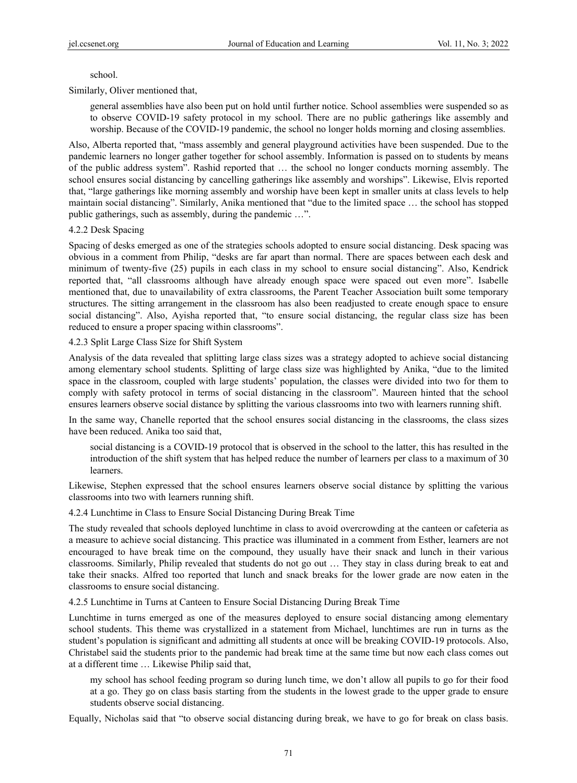## school.

Similarly, Oliver mentioned that,

general assemblies have also been put on hold until further notice. School assemblies were suspended so as to observe COVID-19 safety protocol in my school. There are no public gatherings like assembly and worship. Because of the COVID-19 pandemic, the school no longer holds morning and closing assemblies.

Also, Alberta reported that, "mass assembly and general playground activities have been suspended. Due to the pandemic learners no longer gather together for school assembly. Information is passed on to students by means of the public address system". Rashid reported that … the school no longer conducts morning assembly. The school ensures social distancing by cancelling gatherings like assembly and worships". Likewise, Elvis reported that, "large gatherings like morning assembly and worship have been kept in smaller units at class levels to help maintain social distancing". Similarly, Anika mentioned that "due to the limited space … the school has stopped public gatherings, such as assembly, during the pandemic …".

## 4.2.2 Desk Spacing

Spacing of desks emerged as one of the strategies schools adopted to ensure social distancing. Desk spacing was obvious in a comment from Philip, "desks are far apart than normal. There are spaces between each desk and minimum of twenty-five (25) pupils in each class in my school to ensure social distancing". Also, Kendrick reported that, "all classrooms although have already enough space were spaced out even more". Isabelle mentioned that, due to unavailability of extra classrooms, the Parent Teacher Association built some temporary structures. The sitting arrangement in the classroom has also been readjusted to create enough space to ensure social distancing". Also, Ayisha reported that, "to ensure social distancing, the regular class size has been reduced to ensure a proper spacing within classrooms".

## 4.2.3 Split Large Class Size for Shift System

Analysis of the data revealed that splitting large class sizes was a strategy adopted to achieve social distancing among elementary school students. Splitting of large class size was highlighted by Anika, "due to the limited space in the classroom, coupled with large students' population, the classes were divided into two for them to comply with safety protocol in terms of social distancing in the classroom". Maureen hinted that the school ensures learners observe social distance by splitting the various classrooms into two with learners running shift.

In the same way, Chanelle reported that the school ensures social distancing in the classrooms, the class sizes have been reduced. Anika too said that,

social distancing is a COVID-19 protocol that is observed in the school to the latter, this has resulted in the introduction of the shift system that has helped reduce the number of learners per class to a maximum of 30 learners.

Likewise, Stephen expressed that the school ensures learners observe social distance by splitting the various classrooms into two with learners running shift.

4.2.4 Lunchtime in Class to Ensure Social Distancing During Break Time

The study revealed that schools deployed lunchtime in class to avoid overcrowding at the canteen or cafeteria as a measure to achieve social distancing. This practice was illuminated in a comment from Esther, learners are not encouraged to have break time on the compound, they usually have their snack and lunch in their various classrooms. Similarly, Philip revealed that students do not go out … They stay in class during break to eat and take their snacks. Alfred too reported that lunch and snack breaks for the lower grade are now eaten in the classrooms to ensure social distancing.

4.2.5 Lunchtime in Turns at Canteen to Ensure Social Distancing During Break Time

Lunchtime in turns emerged as one of the measures deployed to ensure social distancing among elementary school students. This theme was crystallized in a statement from Michael, lunchtimes are run in turns as the student's population is significant and admitting all students at once will be breaking COVID-19 protocols. Also, Christabel said the students prior to the pandemic had break time at the same time but now each class comes out at a different time … Likewise Philip said that,

my school has school feeding program so during lunch time, we don't allow all pupils to go for their food at a go. They go on class basis starting from the students in the lowest grade to the upper grade to ensure students observe social distancing.

Equally, Nicholas said that "to observe social distancing during break, we have to go for break on class basis.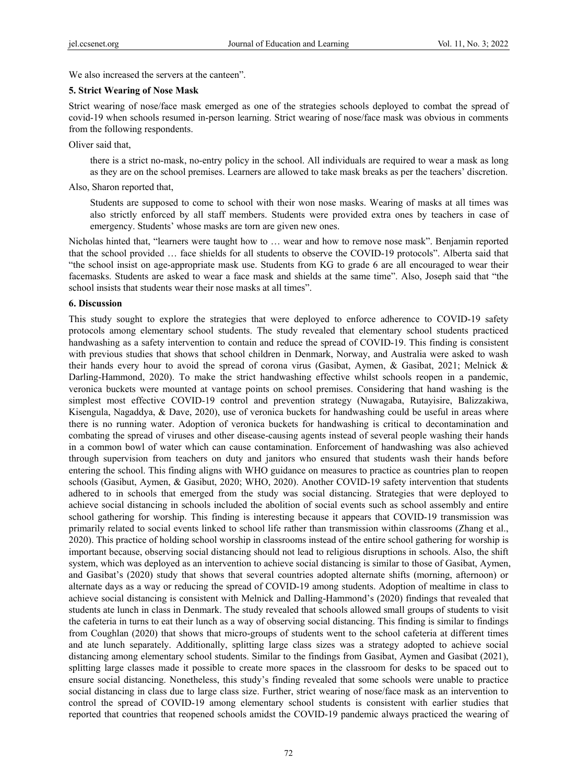We also increased the servers at the canteen".

#### **5. Strict Wearing of Nose Mask**

Strict wearing of nose/face mask emerged as one of the strategies schools deployed to combat the spread of covid-19 when schools resumed in-person learning. Strict wearing of nose/face mask was obvious in comments from the following respondents.

Oliver said that,

there is a strict no-mask, no-entry policy in the school. All individuals are required to wear a mask as long as they are on the school premises. Learners are allowed to take mask breaks as per the teachers' discretion.

Also, Sharon reported that,

Students are supposed to come to school with their won nose masks. Wearing of masks at all times was also strictly enforced by all staff members. Students were provided extra ones by teachers in case of emergency. Students' whose masks are torn are given new ones.

Nicholas hinted that, "learners were taught how to … wear and how to remove nose mask". Benjamin reported that the school provided … face shields for all students to observe the COVID-19 protocols". Alberta said that "the school insist on age-appropriate mask use. Students from KG to grade 6 are all encouraged to wear their facemasks. Students are asked to wear a face mask and shields at the same time". Also, Joseph said that "the school insists that students wear their nose masks at all times".

#### **6. Discussion**

This study sought to explore the strategies that were deployed to enforce adherence to COVID-19 safety protocols among elementary school students. The study revealed that elementary school students practiced handwashing as a safety intervention to contain and reduce the spread of COVID-19. This finding is consistent with previous studies that shows that school children in Denmark, Norway, and Australia were asked to wash their hands every hour to avoid the spread of corona virus (Gasibat, Aymen, & Gasibat, 2021; Melnick & Darling-Hammond, 2020). To make the strict handwashing effective whilst schools reopen in a pandemic, veronica buckets were mounted at vantage points on school premises. Considering that hand washing is the simplest most effective COVID-19 control and prevention strategy (Nuwagaba, Rutayisire, Balizzakiwa, Kisengula, Nagaddya, & Dave, 2020), use of veronica buckets for handwashing could be useful in areas where there is no running water. Adoption of veronica buckets for handwashing is critical to decontamination and combating the spread of viruses and other disease-causing agents instead of several people washing their hands in a common bowl of water which can cause contamination. Enforcement of handwashing was also achieved through supervision from teachers on duty and janitors who ensured that students wash their hands before entering the school. This finding aligns with WHO guidance on measures to practice as countries plan to reopen schools (Gasibut, Aymen, & Gasibut, 2020; WHO, 2020). Another COVID-19 safety intervention that students adhered to in schools that emerged from the study was social distancing. Strategies that were deployed to achieve social distancing in schools included the abolition of social events such as school assembly and entire school gathering for worship. This finding is interesting because it appears that COVID-19 transmission was primarily related to social events linked to school life rather than transmission within classrooms (Zhang et al., 2020). This practice of holding school worship in classrooms instead of the entire school gathering for worship is important because, observing social distancing should not lead to religious disruptions in schools. Also, the shift system, which was deployed as an intervention to achieve social distancing is similar to those of Gasibat, Aymen, and Gasibat's (2020) study that shows that several countries adopted alternate shifts (morning, afternoon) or alternate days as a way or reducing the spread of COVID-19 among students. Adoption of mealtime in class to achieve social distancing is consistent with Melnick and Dalling-Hammond's (2020) findings that revealed that students ate lunch in class in Denmark. The study revealed that schools allowed small groups of students to visit the cafeteria in turns to eat their lunch as a way of observing social distancing. This finding is similar to findings from Coughlan (2020) that shows that micro-groups of students went to the school cafeteria at different times and ate lunch separately. Additionally, splitting large class sizes was a strategy adopted to achieve social distancing among elementary school students. Similar to the findings from Gasibat, Aymen and Gasibat (2021), splitting large classes made it possible to create more spaces in the classroom for desks to be spaced out to ensure social distancing. Nonetheless, this study's finding revealed that some schools were unable to practice social distancing in class due to large class size. Further, strict wearing of nose/face mask as an intervention to control the spread of COVID-19 among elementary school students is consistent with earlier studies that reported that countries that reopened schools amidst the COVID-19 pandemic always practiced the wearing of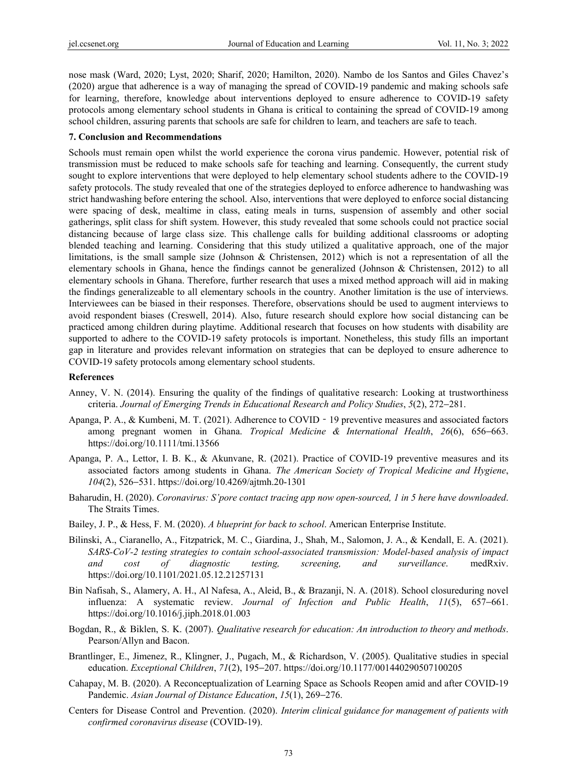nose mask (Ward, 2020; Lyst, 2020; Sharif, 2020; Hamilton, 2020). Nambo de los Santos and Giles Chavez's (2020) argue that adherence is a way of managing the spread of COVID-19 pandemic and making schools safe for learning, therefore, knowledge about interventions deployed to ensure adherence to COVID-19 safety protocols among elementary school students in Ghana is critical to containing the spread of COVID-19 among school children, assuring parents that schools are safe for children to learn, and teachers are safe to teach.

#### **7. Conclusion and Recommendations**

Schools must remain open whilst the world experience the corona virus pandemic. However, potential risk of transmission must be reduced to make schools safe for teaching and learning. Consequently, the current study sought to explore interventions that were deployed to help elementary school students adhere to the COVID-19 safety protocols. The study revealed that one of the strategies deployed to enforce adherence to handwashing was strict handwashing before entering the school. Also, interventions that were deployed to enforce social distancing were spacing of desk, mealtime in class, eating meals in turns, suspension of assembly and other social gatherings, split class for shift system. However, this study revealed that some schools could not practice social distancing because of large class size. This challenge calls for building additional classrooms or adopting blended teaching and learning. Considering that this study utilized a qualitative approach, one of the major limitations, is the small sample size (Johnson & Christensen, 2012) which is not a representation of all the elementary schools in Ghana, hence the findings cannot be generalized (Johnson & Christensen, 2012) to all elementary schools in Ghana. Therefore, further research that uses a mixed method approach will aid in making the findings generalizeable to all elementary schools in the country. Another limitation is the use of interviews. Interviewees can be biased in their responses. Therefore, observations should be used to augment interviews to avoid respondent biases (Creswell, 2014). Also, future research should explore how social distancing can be practiced among children during playtime. Additional research that focuses on how students with disability are supported to adhere to the COVID-19 safety protocols is important. Nonetheless, this study fills an important gap in literature and provides relevant information on strategies that can be deployed to ensure adherence to COVID-19 safety protocols among elementary school students.

#### **References**

- Anney, V. N. (2014). Ensuring the quality of the findings of qualitative research: Looking at trustworthiness criteria. *Journal of Emerging Trends in Educational Research and Policy Studies*, *5*(2), 272−281.
- Apanga, P. A., & Kumbeni, M. T. (2021). Adherence to COVID  $-19$  preventive measures and associated factors among pregnant women in Ghana. *Tropical Medicine & International Health*, *26*(6), 656−663. https://doi.org/10.1111/tmi.13566
- Apanga, P. A., Lettor, I. B. K., & Akunvane, R. (2021). Practice of COVID-19 preventive measures and its associated factors among students in Ghana. *The American Society of Tropical Medicine and Hygiene*, *104*(2), 526−531. https://doi.org/10.4269/ajtmh.20-1301
- Baharudin, H. (2020). *Coronavirus: S'pore contact tracing app now open-sourced, 1 in 5 here have downloaded*. The Straits Times.
- Bailey, J. P., & Hess, F. M. (2020). *A blueprint for back to school*. American Enterprise Institute.
- Bilinski, A., Ciaranello, A., Fitzpatrick, M. C., Giardina, J., Shah, M., Salomon, J. A., & Kendall, E. A. (2021). *SARS-CoV-2 testing strategies to contain school-associated transmission: Model-based analysis of impact and cost of diagnostic testing, screening, and surveillance*. medRxiv. https://doi.org/10.1101/2021.05.12.21257131
- Bin Nafisah, S., Alamery, A. H., Al Nafesa, A., Aleid, B., & Brazanji, N. A. (2018). School closureduring novel influenza: A systematic review. *Journal of Infection and Public Health*, *11*(5), 657−661. https://doi.org/10.1016/j.jiph.2018.01.003
- Bogdan, R., & Biklen, S. K. (2007). *Qualitative research for education: An introduction to theory and methods*. Pearson/Allyn and Bacon.
- Brantlinger, E., Jimenez, R., Klingner, J., Pugach, M., & Richardson, V. (2005). Qualitative studies in special education. *Exceptional Children*, *71*(2), 195−207. https://doi.org/10.1177/001440290507100205
- Cahapay, M. B. (2020). A Reconceptualization of Learning Space as Schools Reopen amid and after COVID-19 Pandemic. *Asian Journal of Distance Education*, *15*(1), 269−276.
- Centers for Disease Control and Prevention. (2020). *Interim clinical guidance for management of patients with confirmed coronavirus disease* (COVID-19).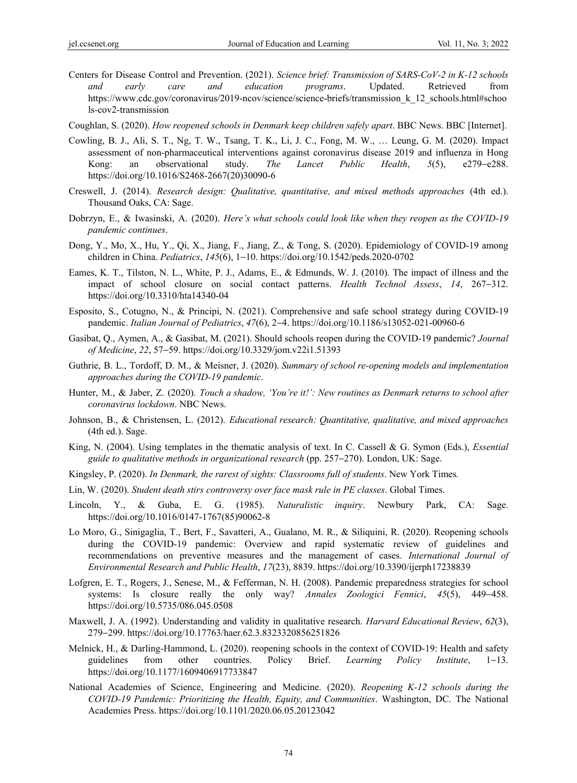Centers for Disease Control and Prevention. (2021). *Science brief: Transmission of SARS-CoV-2 in K-12 schools and early care and education programs*. Updated. Retrieved from https://www.cdc.gov/coronavirus/2019-ncov/science/science-briefs/transmission k 12 schools.html#schoo ls-cov2-transmission

Coughlan, S. (2020). *How reopened schools in Denmark keep children safely apart*. BBC News. BBC [Internet].

- Cowling, B. J., Ali, S. T., Ng, T. W., Tsang, T. K., Li, J. C., Fong, M. W., … Leung, G. M. (2020). Impact assessment of non-pharmaceutical interventions against coronavirus disease 2019 and influenza in Hong Kong: an observational study. *The Lancet Public Health*, *5*(5), e279−e288. https://doi.org/10.1016/S2468-2667(20)30090-6
- Creswell, J. (2014). *Research design: Qualitative, quantitative, and mixed methods approaches* (4th ed.). Thousand Oaks, CA: Sage.
- Dobrzyn, E., & Iwasinski, A. (2020). *Here's what schools could look like when they reopen as the COVID-19 pandemic continues*.
- Dong, Y., Mo, X., Hu, Y., Qi, X., Jiang, F., Jiang, Z., & Tong, S. (2020). Epidemiology of COVID-19 among children in China. *Pediatrics*, *145*(6), 1−10. https://doi.org/10.1542/peds.2020-0702
- Eames, K. T., Tilston, N. L., White, P. J., Adams, E., & Edmunds, W. J. (2010). The impact of illness and the impact of school closure on social contact patterns. *Health Technol Assess*, *14*, 267−312. https://doi.org/10.3310/hta14340-04
- Esposito, S., Cotugno, N., & Principi, N. (2021). Comprehensive and safe school strategy during COVID-19 pandemic. *Italian Journal of Pediatrics*, *47*(6), 2−4. https://doi.org/10.1186/s13052-021-00960-6
- Gasibat, Q., Aymen, A., & Gasibat, M. (2021). Should schools reopen during the COVID-19 pandemic? *Journal of Medicine*, *22*, 57−59. https://doi.org/10.3329/jom.v22i1.51393
- Guthrie, B. L., Tordoff, D. M., & Meisner, J. (2020). *Summary of school re-opening models and implementation approaches during the COVID-19 pandemic*.
- Hunter, M., & Jaber, Z. (2020). *Touch a shadow, 'You're it!': New routines as Denmark returns to school after coronavirus lockdown*. NBC News.
- Johnson, B., & Christensen, L. (2012). *Educational research: Quantitative, qualitative, and mixed approaches* (4th ed.). Sage.
- King, N. (2004). Using templates in the thematic analysis of text. In C. Cassell & G. Symon (Eds.), *Essential guide to qualitative methods in organizational research* (pp. 257−270). London, UK: Sage.
- Kingsley, P. (2020). *In Denmark, the rarest of sights: Classrooms full of students*. New York Times*.*
- Lin, W. (2020). *Student death stirs controversy over face mask rule in PE classes*. Global Times.
- Lincoln, Y., & Guba, E. G. (1985). *Naturalistic inquiry*. Newbury Park, CA: Sage. https://doi.org/10.1016/0147-1767(85)90062-8
- Lo Moro, G., Sinigaglia, T., Bert, F., Savatteri, A., Gualano, M. R., & Siliquini, R. (2020). Reopening schools during the COVID-19 pandemic: Overview and rapid systematic review of guidelines and recommendations on preventive measures and the management of cases. *International Journal of Environmental Research and Public Health*, *17*(23), 8839. https://doi.org/10.3390/ijerph17238839
- Lofgren, E. T., Rogers, J., Senese, M., & Fefferman, N. H. (2008). Pandemic preparedness strategies for school systems: Is closure really the only way? *Annales Zoologici Fennici*, *45*(5), 449−458. https://doi.org/10.5735/086.045.0508
- Maxwell, J. A. (1992). Understanding and validity in qualitative research. *Harvard Educational Review*, *62*(3), 279−299. https://doi.org/10.17763/haer.62.3.8323320856251826
- Melnick, H., & Darling-Hammond, L. (2020). reopening schools in the context of COVID-19: Health and safety guidelines from other countries. Policy Brief. *Learning Policy Institute*, 1−13. https://doi.org/10.1177/1609406917733847
- National Academies of Science, Engineering and Medicine. (2020). *Reopening K-12 schools during the COVID-19 Pandemic: Prioritizing the Health, Equity, and Communities*. Washington, DC. The National Academies Press. https://doi.org/10.1101/2020.06.05.20123042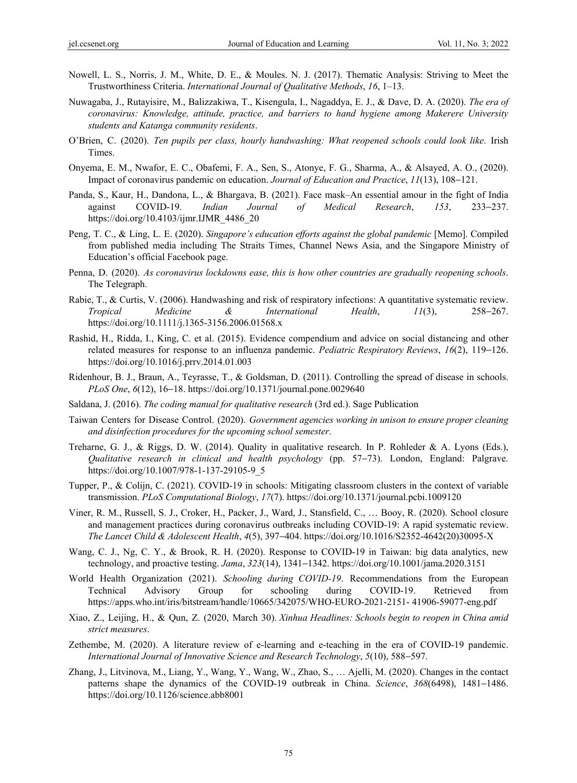- Nowell, L. S., Norris, J. M., White, D. E., & Moules. N. J. (2017). Thematic Analysis: Striving to Meet the Trustworthiness Criteria. *International Journal of Qualitative Methods*, *16*, 1–13.
- Nuwagaba, J., Rutayisire, M., Balizzakiwa, T., Kisengula, I., Nagaddya, E. J., & Dave, D. A. (2020). *The era of coronavirus: Knowledge, attitude, practice, and barriers to hand hygiene among Makerere University students and Katanga community residents*.
- O'Brien, C. (2020). *Ten pupils per class, hourly handwashing: What reopened schools could look like*. Irish Times.
- Onyema, E. M., Nwafor, E. C., Obafemi, F. A., Sen, S., Atonye, F. G., Sharma, A., & Alsayed, A. O., (2020). Impact of coronavirus pandemic on education. *Journal of Education and Practice*, *11*(13), 108−121.
- Panda, S., Kaur, H., Dandona, L., & Bhargava, B. (2021). Face mask–An essential amour in the fight of India against COVID-19. *Indian Journal of Medical Research*, *153*, 233−237. https://doi.org/10.4103/ijmr.IJMR\_4486\_20
- Peng, T. C., & Ling, L. E. (2020). *Singapore's education efforts against the global pandemic* [Memo]. Compiled from published media including The Straits Times, Channel News Asia, and the Singapore Ministry of Education's official Facebook page.
- Penna, D. (2020). *As coronavirus lockdowns ease, this is how other countries are gradually reopening schools*. The Telegraph.
- Rabie, T., & Curtis, V. (2006). Handwashing and risk of respiratory infections: A quantitative systematic review. *Tropical Medicine & International Health*, *11*(3), 258−267. https://doi.org/10.1111/j.1365-3156.2006.01568.x
- Rashid, H., Ridda, I., King, C. et al. (2015). Evidence compendium and advice on social distancing and other related measures for response to an influenza pandemic. *Pediatric Respiratory Reviews*, *16*(2), 119−126. https://doi.org/10.1016/j.prrv.2014.01.003
- Ridenhour, B. J., Braun, A., Teyrasse, T., & Goldsman, D. (2011). Controlling the spread of disease in schools. *PLoS One*, *6*(12), 16–18. https://doi.org/10.1371/journal.pone.0029640
- Saldana, J. (2016). *The coding manual for qualitative research* (3rd ed.). Sage Publication
- Taiwan Centers for Disease Control. (2020). *Government agencies working in unison to ensure proper cleaning and disinfection procedures for the upcoming school semester*.
- Treharne, G. J., & Riggs, D. W. (2014). Quality in qualitative research. In P. Rohleder & A. Lyons (Eds.), *Qualitative research in clinical and health psychology* (pp. 57−73). London, England: Palgrave. https://doi.org/10.1007/978-1-137-29105-9\_5
- Tupper, P., & Colijn, C. (2021). COVID-19 in schools: Mitigating classroom clusters in the context of variable transmission. *PLoS Computational Biology*, *17*(7). https://doi.org/10.1371/journal.pcbi.1009120
- Viner, R. M., Russell, S. J., Croker, H., Packer, J., Ward, J., Stansfield, C., … Booy, R. (2020). School closure and management practices during coronavirus outbreaks including COVID-19: A rapid systematic review. *The Lancet Child & Adolescent Health*, *4*(5), 397−404. https://doi.org/10.1016/S2352-4642(20)30095-X
- Wang, C. J., Ng, C. Y., & Brook, R. H. (2020). Response to COVID-19 in Taiwan: big data analytics, new technology, and proactive testing. *Jama*, *323*(14), 1341−1342. https://doi.org/10.1001/jama.2020.3151
- World Health Organization (2021). *Schooling during COVID-19*. Recommendations from the European Technical Advisory Group for schooling during COVID-19. Retrieved from https://apps.who.int/iris/bitstream/handle/10665/342075/WHO-EURO-2021-2151- 41906-59077-eng.pdf
- Xiao, Z., Leijing, H., & Qun, Z. (2020, March 30). *Xinhua Headlines: Schools begin to reopen in China amid strict measures*.
- Zethembe, M. (2020). A literature review of e-learning and e-teaching in the era of COVID-19 pandemic. *International Journal of Innovative Science and Research Technology*, *5*(10), 588−597.
- Zhang, J., Litvinova, M., Liang, Y., Wang, Y., Wang, W., Zhao, S., … Ajelli, M. (2020). Changes in the contact patterns shape the dynamics of the COVID-19 outbreak in China. *Science*, *368*(6498), 1481−1486. https://doi.org/10.1126/science.abb8001